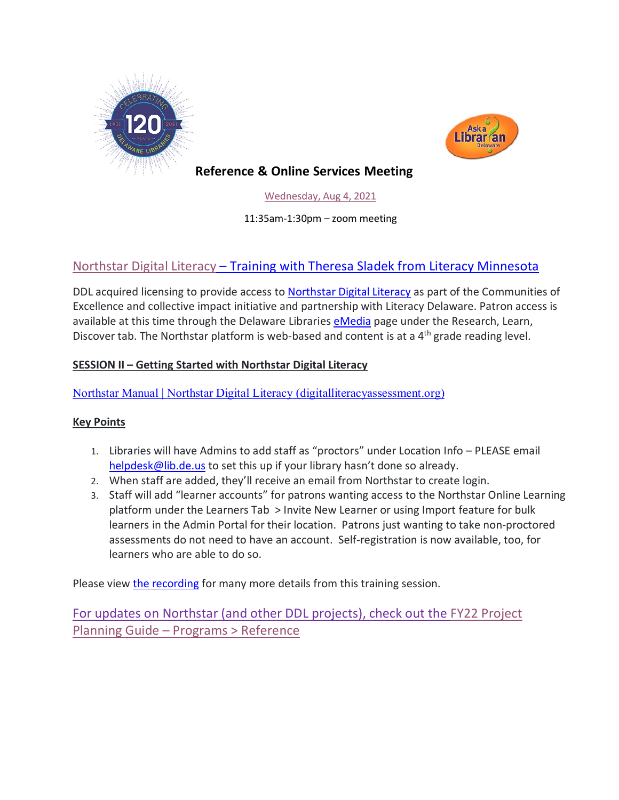



## **Reference & Online Services Meeting**

[Wednesday,](https://youtu.be/MmWZBj_GBG0) Aug 4, 2021

11:35am-1:30pm – zoom meeting

## [Northstar Digital Literacy](https://www.digitalliteracyassessment.org/about#about) – Training with Theresa Sladek from Literacy Minnesota

DDL acquired licensing to provide access to [Northstar Digital Literacy](https://www.digitalliteracyassessment.org/about#about) as part of the Communities of Excellence and collective impact initiative and partnership with Literacy Delaware. Patron access is available at this time through the Delaware Libraries [eMedia](https://lib.de.us/emedia/) page under the Research, Learn, Discover tab. The Northstar platform is web-based and content is at a 4<sup>th</sup> grade reading level.

### **SESSION II – Getting Started with Northstar Digital Literacy**

[Northstar Manual | Northstar Digital Literacy \(digitalliteracyassessment.org\)](https://www.digitalliteracyassessment.org/manual)

### **Key Points**

- 1. Libraries will have Admins to add staff as "proctors" under Location Info PLEASE email [helpdesk@lib.de.us](mailto:helpdesk@lib.de.us) to set this up if your library hasn't done so already.
- 2. When staff are added, they'll receive an email from Northstar to create login.
- 3. Staff will add "learner accounts" for patrons wanting access to the Northstar Online Learning platform under the Learners Tab > Invite New Learner or using Import feature for bulk learners in the Admin Portal for their location. Patrons just wanting to take non-proctored assessments do not need to have an account. Self-registration is now available, too, for learners who are able to do so.

Please view [the recording](https://www.youtube.com/watch?v=MmWZBj_GBG0) for many more details from this training session.

For updates on Northstar (and other DDL projects), check out the [FY22 Project](https://guides.lib.de.us/projectplanning/programs)  Planning Guide – [Programs > Reference](https://guides.lib.de.us/projectplanning/programs)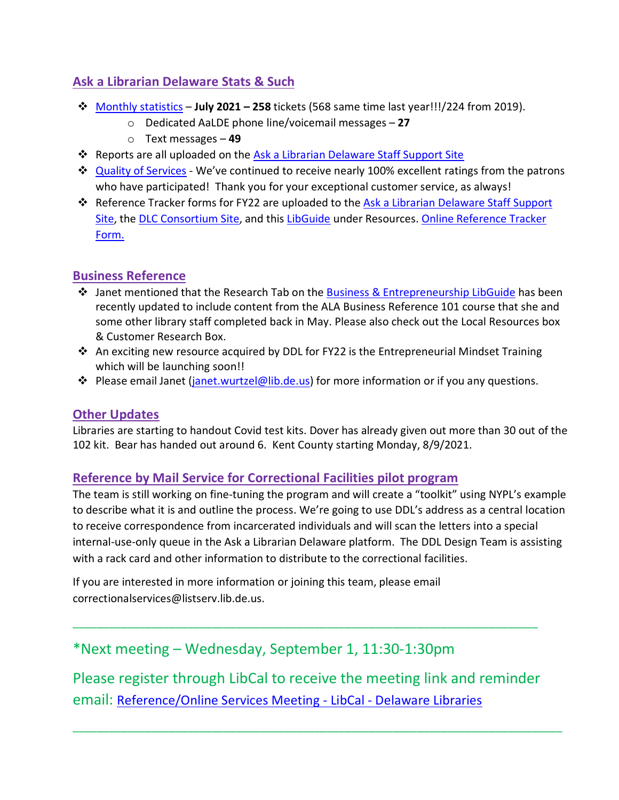## **Ask a Librarian Delaware Stats & Such**

- [Monthly statistics](https://aalstaff.lib.de.us/home/reports/fy21-monthly-reports/) **July 2021 – 258** tickets (568 same time last year!!!/224 from 2019).
	- o Dedicated AaLDE phone line/voicemail messages **27**
	- o Text messages **49**
- **EX** Reports are all uploaded on the [Ask a Librarian Delaware Staff Support Site](https://aalstaff.lib.de.us/home/reports/fy21-monthly-reports/)
- **→** [Quality of Services](https://ask.springshare.com/libanswers/faq/2830) We've continued to receive nearly 100% excellent ratings from the patrons who have participated! Thank you for your exceptional customer service, as always!
- **Ex** Reference Tracker forms for FY22 are uploaded to the Ask a Librarian Delaware Staff Support [Site,](https://aalstaff.lib.de.us/resources/reference-tracker-forms/) the [DLC Consortium Site,](https://consortium.lib.de.us/) and this [LibGuide](https://guides.lib.de.us/c.php?g=386101&p=2619930) under Resources. Online Reference Tracker [Form.](https://de.countingopinions.com/s/feedback/index.php?survey_id=598&loc_id=en_CA)

## **Business Reference**

- $\div$  Janet mentioned that the Research Tab on the [Business & Entrepreneurship LibGuide](https://guides.lib.de.us/business) has been recently updated to include content from the ALA Business Reference 101 course that she and some other library staff completed back in May. Please also check out the Local Resources box & Customer Research Box.
- $\cdot$  An exciting new resource acquired by DDL for FY22 is the Entrepreneurial Mindset Training which will be launching soon!!
- **◆** Please email Janet [\(janet.wurtzel@lib.de.us\)](mailto:janet.wurtzel@lib.de.us) for more information or if you any questions.

### **Other Updates**

Libraries are starting to handout Covid test kits. Dover has already given out more than 30 out of the 102 kit. Bear has handed out around 6. Kent County starting Monday, 8/9/2021.

### **Reference by Mail Service for Correctional Facilities pilot program**

The team is still working on fine-tuning the program and will create a "toolkit" using NYPL's example to describe what it is and outline the process. We're going to use DDL's address as a central location to receive correspondence from incarcerated individuals and will scan the letters into a special internal-use-only queue in the Ask a Librarian Delaware platform. The DDL Design Team is assisting with a rack card and other information to distribute to the correctional facilities.

If you are interested in more information or joining this team, please email correctionalservices@listserv.lib.de.us.

## \*Next meeting – Wednesday, September 1, 11:30-1:30pm

Please register through LibCal to receive the meeting link and reminder email: [Reference/Online Services Meeting -](https://delawarelibraries.libcal.com/event/7594125) LibCal - Delaware Libraries

\_\_\_\_\_\_\_\_\_\_\_\_\_\_\_\_\_\_\_\_\_\_\_\_\_\_\_\_\_\_\_\_\_\_\_\_\_\_\_\_\_\_\_\_\_\_\_\_\_\_\_\_\_\_\_\_\_\_\_\_\_\_\_\_\_\_\_\_\_\_\_\_\_\_\_\_\_\_\_\_\_

\_\_\_\_\_\_\_\_\_\_\_\_\_\_\_\_\_\_\_\_\_\_\_\_\_\_\_\_\_\_\_\_\_\_\_\_\_\_\_\_\_\_\_\_\_\_\_\_\_\_\_\_\_\_\_\_\_\_\_\_\_\_\_\_\_\_\_\_\_\_\_\_\_\_\_\_\_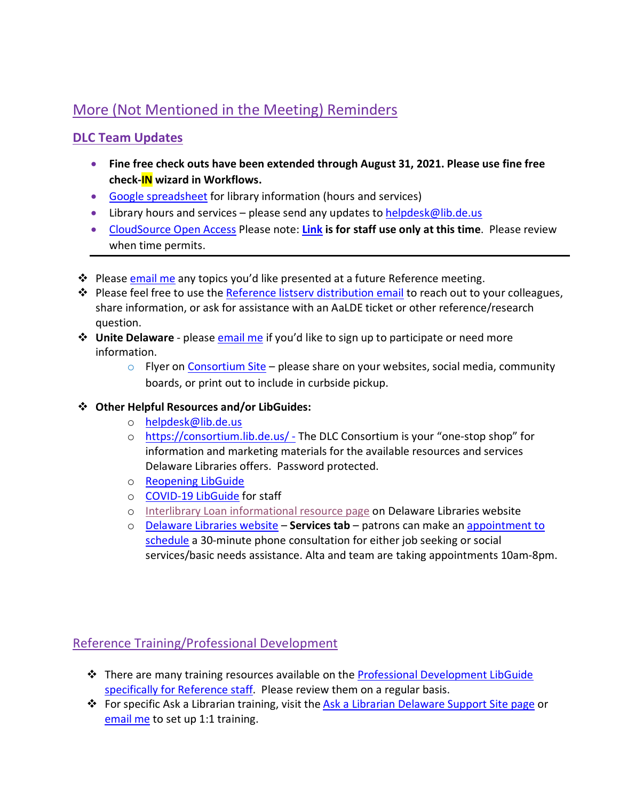# More (Not Mentioned in the Meeting) Reminders

## **DLC Team Updates**

- **Fine free check outs have been extended through August 31, 2021. Please use fine free check-IN wizard in Workflows.**
- [Google spreadsheet](https://docs.google.com/spreadsheets/d/1LU1wJdCTHeCELlt4vygc-mjwQQNm1__Su4hihXtu8v8/edit#gid=461441173) for library information (hours and services)
- Library hours and services please send any updates t[o helpdesk@lib.de.us](mailto:helpdesk@lib.de.us)
- [CloudSource Open Access](https://dlc.lib.de.us/client/en_US/CSOA/) Please note: **[Link](https://dlc.lib.de.us/client/en_US/CSOA/) is for staff use only at this time**. Please review when time permits.
- **EX** Please [email me](mailto:missy.williams@lib.de.us) any topics you'd like presented at a future Reference meeting.
- ◆ Please feel free to use the [Reference listserv distribution email](mailto:reference@listserv.lib.de.us) to reach out to your colleagues, share information, or ask for assistance with an AaLDE ticket or other reference/research question.
- **↓ Unite Delaware** please **email me** if you'd like to sign up to participate or need more information.
	- $\circ$  Flyer on [Consortium Site](https://consortium.lib.de.us/marketing/) please share on your websites, social media, community boards, or print out to include in curbside pickup.

#### **Other Helpful Resources and/or LibGuides:**

- o [helpdesk@lib.de.us](mailto:helpdesk@lib.de.us)
- o <https://consortium.lib.de.us/> The DLC Consortium is your "one-stop shop" for information and marketing materials for the available resources and services Delaware Libraries offers. Password protected.
- o [Reopening LibGuide](https://guides.lib.de.us/delibraries/COVID-19/reopening)
- o [COVID-19 LibGuide](https://guides.lib.de.us/delibraries/COVID-19) for staff
- o [Interlibrary Loan informational resource page](https://lib.de.us/interlibraryloan/) on Delaware Libraries website
- o [Delaware Libraries website](https://lib.de.us/) **Services tab** patrons can make an [appointment to](https://delawarelibraries.libcal.com/appointments/)  [schedule](https://delawarelibraries.libcal.com/appointments/) a 30-minute phone consultation for either job seeking or social services/basic needs assistance. Alta and team are taking appointments 10am-8pm.

## Reference Training/Professional Development

- There are many training resources available on the [Professional Development LibGuide](https://guides.lib.de.us/c.php?g=386101&p=2619930)  [specifically for Reference staff.](https://guides.lib.de.us/c.php?g=386101&p=2619930) Please review them on a regular basis.
- **❖** For specific Ask a Librarian training, visit the [Ask a Librarian Delaware Support Site page](https://aalstaff.lib.de.us/all-meetings-trainings/training-tutorials/) or [email me](mailto:missy.williams@lib.de.us) to set up 1:1 training.